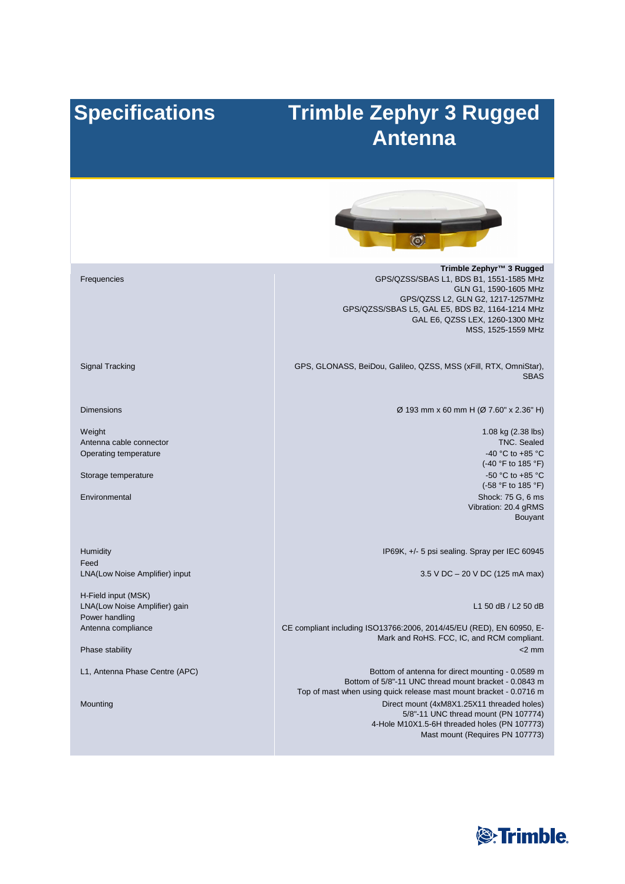## **Trimble Zephyr 3 Rugged Antenna**

## **Specifications**



**Frequencies Trimble Zephyr™ 3 Rugged** GPS/QZSS/SBAS L1, BDS B1, 1551-1585 MHz GLN G1, 1590-1605 MHz GPS/QZSS L2, GLN G2, 1217-1257MHz GPS/QZSS/SBAS L5, GAL E5, BDS B2, 1164-1214 MHz GAL E6, QZSS LEX, 1260-1300 MHz MSS, 1525-1559 MHz GPS, GLONASS, BeiDou, Galileo, QZSS, MSS (xFill, RTX, OmniStar), **SBAS** Ø 193 mm x 60 mm H (Ø 7.60" x 2.36" H) 1.08 kg (2.38 lbs) TNC. Sealed -40 °C to +85 °C (-40 °F to 185 °F) -50 °C to +85 °C (-58 °F to 185 °F) Shock: 75 G, 6 ms Vibration: 20.4 gRMS Bouyant IP69K, +/- 5 psi sealing. Spray per IEC 60945 3.5 V DC – 20 V DC (125 mA max) L1 50 dB / L2 50 dB CE compliant including ISO13766:2006, 2014/45/EU (RED), EN 60950, E-Mark and RoHS. FCC, IC, and RCM compliant.  $<$ 2 mm Bottom of antenna for direct mounting - 0.0589 m Bottom of 5/8"-11 UNC thread mount bracket - 0.0843 m

Top of mast when using quick release mast mount bracket - 0.0716 m Direct mount (4xM8X1.25X11 threaded holes) 5/8"-11 UNC thread mount (PN 107774) 4-Hole M10X1.5-6H threaded holes (PN 107773) Mast mount (Requires PN 107773)

Signal Tracking

Dimensions

Weight Antenna cable connector Operating temperature

Storage temperature

Environmental

Humidity Feed LNA(Low Noise Amplifier) input

H-Field input (MSK) LNA(Low Noise Amplifier) gain Power handling Antenna compliance

Phase stability

L1, Antenna Phase Centre (APC)

Mounting